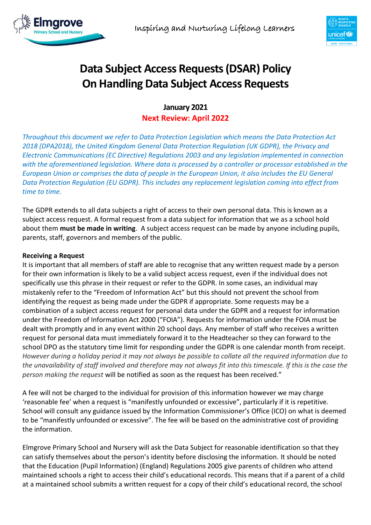



# **Data Subject Access Requests (DSAR) Policy On Handling Data Subject Access Requests**

**January 2021 Next Review: April 2022**

*Throughout this document we refer to Data Protection Legislation which means the Data Protection Act 2018 (DPA2018), the United Kingdom General Data Protection Regulation (UK GDPR), the Privacy and Electronic Communications (EC Directive) Regulations 2003 and any legislation implemented in connection with the aforementioned legislation. Where data is processed by a controller or processor established in the European Union or comprises the data of people in the European Union, it also includes the EU General Data Protection Regulation (EU GDPR). This includes any replacement legislation coming into effect from time to time.*

The GDPR extends to all data subjects a right of access to their own personal data. This is known as a subject access request. A formal request from a data subject for information that we as a school hold about them **must be made in writing**. A subject access request can be made by anyone including pupils, parents, staff, governors and members of the public.

# **Receiving a Request**

It is important that all members of staff are able to recognise that any written request made by a person for their own information is likely to be a valid subject access request, even if the individual does not specifically use this phrase in their request or refer to the GDPR. In some cases, an individual may mistakenly refer to the "Freedom of Information Act" but this should not prevent the school from identifying the request as being made under the GDPR if appropriate. Some requests may be a combination of a subject access request for personal data under the GDPR and a request for information under the Freedom of Information Act 2000 ("FOIA"). Requests for information under the FOIA must be dealt with promptly and in any event within 20 school days. Any member of staff who receives a written request for personal data must immediately forward it to the Headteacher so they can forward to the school DPO as the statutory time limit for responding under the GDPR is one calendar month from receipt. *However during a holiday period it may not always be possible to collate all the required information due to the unavailability of staff involved and therefore may not always fit into this timescale. If this is the case the person making the request* will be notified as soon as the request has been received."

A fee will not be charged to the individual for provision of this information however we may charge 'reasonable fee' when a request is "manifestly unfounded or excessive", particularly if it is repetitive. School will consult any guidance issued by the Information Commissioner's Office (ICO) on what is deemed to be "manifestly unfounded or excessive". The fee will be based on the administrative cost of providing the information.

Elmgrove Primary School and Nursery will ask the Data Subject for reasonable identification so that they can satisfy themselves about the person's identity before disclosing the information. It should be noted that the Education (Pupil Information) (England) Regulations 2005 give parents of children who attend maintained schools a right to access their child's educational records. This means that if a parent of a child at a maintained school submits a written request for a copy of their child's educational record, the school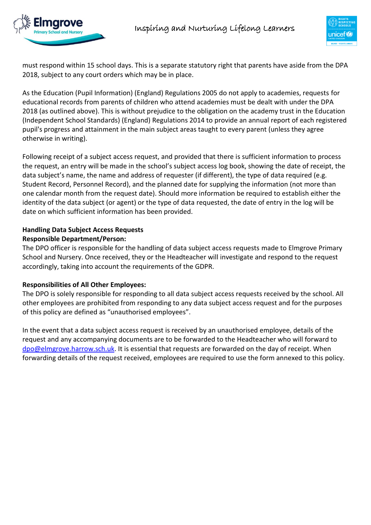





must respond within 15 school days. This is a separate statutory right that parents have aside from the DPA 2018, subject to any court orders which may be in place.

As the Education (Pupil Information) (England) Regulations 2005 do not apply to academies, requests for educational records from parents of children who attend academies must be dealt with under the DPA 2018 (as outlined above). This is without prejudice to the obligation on the academy trust in the Education (Independent School Standards) (England) Regulations 2014 to provide an annual report of each registered pupil's progress and attainment in the main subject areas taught to every parent (unless they agree otherwise in writing).

Following receipt of a subject access request, and provided that there is sufficient information to process the request, an entry will be made in the school's subject access log book, showing the date of receipt, the data subject's name, the name and address of requester (if different), the type of data required (e.g. Student Record, Personnel Record), and the planned date for supplying the information (not more than one calendar month from the request date). Should more information be required to establish either the identity of the data subject (or agent) or the type of data requested, the date of entry in the log will be date on which sufficient information has been provided.

## **Handling Data Subject Access Requests Responsible Department/Person:**

The DPO officer is responsible for the handling of data subject access requests made to Elmgrove Primary School and Nursery. Once received, they or the Headteacher will investigate and respond to the request accordingly, taking into account the requirements of the GDPR.

# **Responsibilities of All Other Employees:**

The DPO is solely responsible for responding to all data subject access requests received by the school. All other employees are prohibited from responding to any data subject access request and for the purposes of this policy are defined as "unauthorised employees".

In the event that a data subject access request is received by an unauthorised employee, details of the request and any accompanying documents are to be forwarded to the Headteacher who will forward to [dpo@elmgrove.harrow.sch.uk.](mailto:dpo@elmgrove.harrow.sch.uk) It is essential that requests are forwarded on the day of receipt. When forwarding details of the request received, employees are required to use the form annexed to this policy.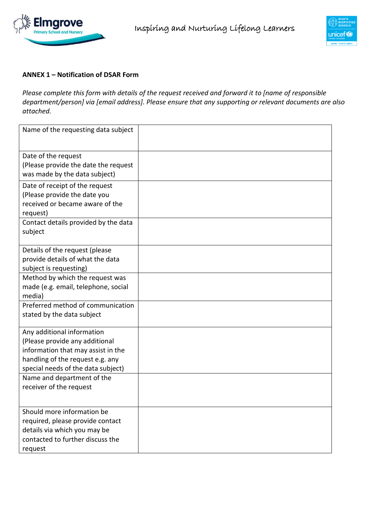



## **ANNEX 1 – Notification of DSAR Form**

*Please complete this form with details of the request received and forward it to [name of responsible department/person] via [email address]. Please ensure that any supporting or relevant documents are also attached.*

| Name of the requesting data subject  |  |
|--------------------------------------|--|
|                                      |  |
|                                      |  |
|                                      |  |
| Date of the request                  |  |
| (Please provide the date the request |  |
| was made by the data subject)        |  |
| Date of receipt of the request       |  |
| (Please provide the date you         |  |
| received or became aware of the      |  |
| request)                             |  |
| Contact details provided by the data |  |
| subject                              |  |
|                                      |  |
| Details of the request (please       |  |
| provide details of what the data     |  |
| subject is requesting)               |  |
| Method by which the request was      |  |
|                                      |  |
| made (e.g. email, telephone, social  |  |
| media)                               |  |
| Preferred method of communication    |  |
| stated by the data subject           |  |
| Any additional information           |  |
| (Please provide any additional       |  |
| information that may assist in the   |  |
| handling of the request e.g. any     |  |
|                                      |  |
| special needs of the data subject)   |  |
| Name and department of the           |  |
| receiver of the request              |  |
|                                      |  |
| Should more information be           |  |
| required, please provide contact     |  |
| details via which you may be         |  |
| contacted to further discuss the     |  |
| request                              |  |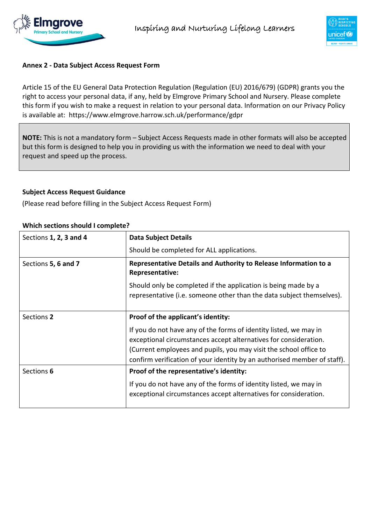



# **Annex 2 - Data Subject Access Request Form**

Article 15 of the EU General Data Protection Regulation (Regulation (EU) 2016/679) (GDPR) grants you the right to access your personal data, if any, held by Elmgrove Primary School and Nursery. Please complete this form if you wish to make a request in relation to your personal data. Information on our Privacy Policy is available at: https://www.elmgrove.harrow.sch.uk/performance/gdpr

**NOTE:** This is not a mandatory form – Subject Access Requests made in other formats will also be accepted but this form is designed to help you in providing us with the information we need to deal with your request and speed up the process.

# **Subject Access Request Guidance**

(Please read before filling in the Subject Access Request Form)

## **Which sections should I complete?**

| Sections 1, 2, 3 and 4 | <b>Data Subject Details</b>                                                                                                                                                                                                                                                            |  |  |  |
|------------------------|----------------------------------------------------------------------------------------------------------------------------------------------------------------------------------------------------------------------------------------------------------------------------------------|--|--|--|
|                        | Should be completed for ALL applications.                                                                                                                                                                                                                                              |  |  |  |
| Sections 5, 6 and 7    | Representative Details and Authority to Release Information to a<br>Representative:                                                                                                                                                                                                    |  |  |  |
|                        | Should only be completed if the application is being made by a<br>representative (i.e. someone other than the data subject themselves).                                                                                                                                                |  |  |  |
| Sections 2             | Proof of the applicant's identity:                                                                                                                                                                                                                                                     |  |  |  |
|                        | If you do not have any of the forms of identity listed, we may in<br>exceptional circumstances accept alternatives for consideration.<br>(Current employees and pupils, you may visit the school office to<br>confirm verification of your identity by an authorised member of staff). |  |  |  |
| Sections 6             | Proof of the representative's identity:                                                                                                                                                                                                                                                |  |  |  |
|                        | If you do not have any of the forms of identity listed, we may in<br>exceptional circumstances accept alternatives for consideration.                                                                                                                                                  |  |  |  |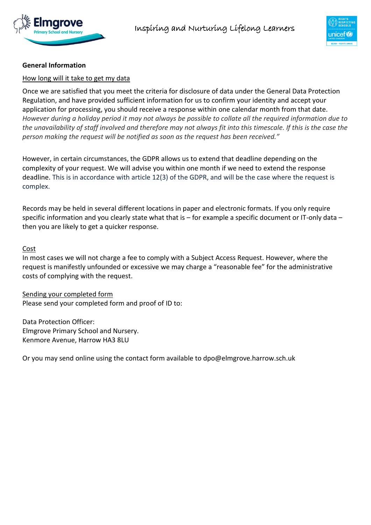



# **General Information**

#### How long will it take to get my data

Once we are satisfied that you meet the criteria for disclosure of data under the General Data Protection Regulation, and have provided sufficient information for us to confirm your identity and accept your application for processing, you should receive a response within one calendar month from that date. *However during a holiday period it may not always be possible to collate all the required information due to the unavailability of staff involved and therefore may not always fit into this timescale. If this is the case the person making the request will be notified as soon as the request has been received."*

However, in certain circumstances, the GDPR allows us to extend that deadline depending on the complexity of your request. We will advise you within one month if we need to extend the response deadline. This is in accordance with article 12(3) of the GDPR, and will be the case where the request is complex.

Records may be held in several different locations in paper and electronic formats. If you only require specific information and you clearly state what that is – for example a specific document or IT-only data – then you are likely to get a quicker response.

#### Cost

In most cases we will not charge a fee to comply with a Subject Access Request. However, where the request is manifestly unfounded or excessive we may charge a "reasonable fee" for the administrative costs of complying with the request.

Sending your completed form Please send your completed form and proof of ID to:

Data Protection Officer: Elmgrove Primary School and Nursery. Kenmore Avenue, Harrow HA3 8LU

Or you may send online using the contact form available to dpo@elmgrove.harrow.sch.uk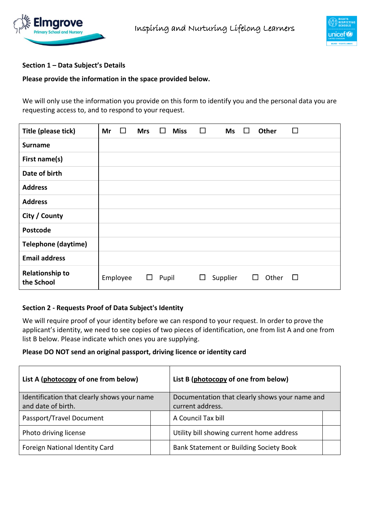



# **Section 1 – Data Subject's Details**

#### **Please provide the information in the space provided below.**

We will only use the information you provide on this form to identify you and the personal data you are requesting access to, and to respond to your request.

| Title (please tick)                  | Mr | ப        | <b>Mrs</b> | $\Box$ | <b>Miss</b> | □ | Ms       | $\mathbf{L}$ | <b>Other</b>                       | $\Box$ |
|--------------------------------------|----|----------|------------|--------|-------------|---|----------|--------------|------------------------------------|--------|
| <b>Surname</b>                       |    |          |            |        |             |   |          |              |                                    |        |
| First name(s)                        |    |          |            |        |             |   |          |              |                                    |        |
| Date of birth                        |    |          |            |        |             |   |          |              |                                    |        |
| <b>Address</b>                       |    |          |            |        |             |   |          |              |                                    |        |
| <b>Address</b>                       |    |          |            |        |             |   |          |              |                                    |        |
| City / County                        |    |          |            |        |             |   |          |              |                                    |        |
| Postcode                             |    |          |            |        |             |   |          |              |                                    |        |
| <b>Telephone (daytime)</b>           |    |          |            |        |             |   |          |              |                                    |        |
| <b>Email address</b>                 |    |          |            |        |             |   |          |              |                                    |        |
| <b>Relationship to</b><br>the School |    | Employee | ப          | Pupil  |             | ப | Supplier |              | Other<br>$\mathsf{L}^{\mathsf{T}}$ | $\Box$ |

#### **Section 2 - Requests Proof of Data Subject's Identity**

We will require proof of your identity before we can respond to your request. In order to prove the applicant's identity, we need to see copies of two pieces of identification, one from list A and one from list B below. Please indicate which ones you are supplying.

#### **Please DO NOT send an original passport, driving licence or identity card**

| List A (photocopy of one from below)                              | List B (photocopy of one from below)                               |  |  |  |
|-------------------------------------------------------------------|--------------------------------------------------------------------|--|--|--|
| Identification that clearly shows your name<br>and date of birth. | Documentation that clearly shows your name and<br>current address. |  |  |  |
| Passport/Travel Document                                          | A Council Tax bill                                                 |  |  |  |
| Photo driving license                                             | Utility bill showing current home address                          |  |  |  |
| Foreign National Identity Card                                    | Bank Statement or Building Society Book                            |  |  |  |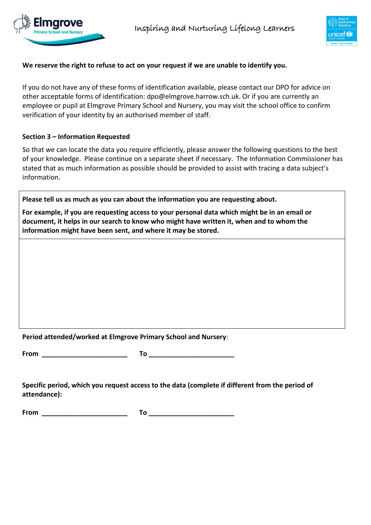



# **We reserve the right to refuse to act on your request if we are unable to identify you.**

If you do not have any of these forms of identification available, please contact our DPO for advice on other acceptable forms of identification: dpo@elmgrove.harrow.sch.uk. Or if you are currently an employee or pupil at Elmgrove Primary School and Nursery, you may visit the school office to confirm verification of your identity by an authorised member of staff.

## **Section 3 – Information Requested**

So that we can locate the data you require efficiently, please answer the following questions to the best of your knowledge. Please continue on a separate sheet if necessary. The Information Commissioner has stated that as much information as possible should be provided to assist with tracing a data subject's information.

**Please tell us as much as you can about the information you are requesting about.**

**For example, if you are requesting access to your personal data which might be in an email or document, it helps in our search to know who might have written it, when and to whom the information might have been sent, and where it may be stored.**

**Period attended/worked at Elmgrove Primary School and Nursery**:

**From \_\_\_\_\_\_\_\_\_\_\_\_\_\_\_\_\_\_\_\_\_\_\_ To \_\_\_\_\_\_\_\_\_\_\_\_\_\_\_\_\_\_\_\_\_\_\_**

**Specific period, which you request access to the data (complete if different from the period of attendance):**

**From \_\_\_\_\_\_\_\_\_\_\_\_\_\_\_\_\_\_\_\_\_\_\_ To \_\_\_\_\_\_\_\_\_\_\_\_\_\_\_\_\_\_\_\_\_\_\_**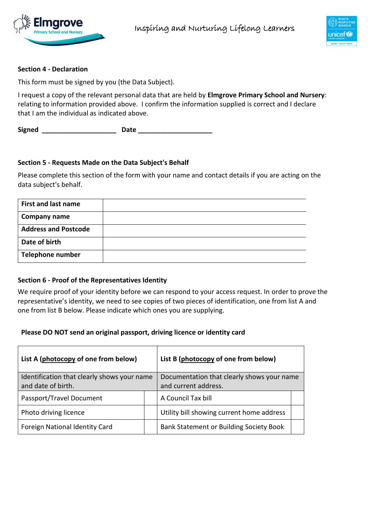



## **Section 4 - Declaration**

This form must be signed by you (the Data Subject).

I request a copy of the relevant personal data that are held by **Elmgrove Primary School and Nursery**: relating to information provided above. I confirm the information supplied is correct and I declare that I am the individual as indicated above.

**Signed \_\_\_\_\_\_\_\_\_\_\_\_\_\_\_\_\_\_\_\_ Date \_\_\_\_\_\_\_\_\_\_\_\_\_\_\_\_\_\_\_\_**

#### **Section 5 - Requests Made on the Data Subject's Behalf**

Please complete this section of the form with your name and contact details if you are acting on the data subject's behalf.

| <b>First and last name</b>  |  |
|-----------------------------|--|
| <b>Company name</b>         |  |
| <b>Address and Postcode</b> |  |
| Date of birth               |  |
| <b>Telephone number</b>     |  |

#### **Section 6 - Proof of the Representatives Identity**

We require proof of your identity before we can respond to your access request. In order to prove the representative's identity, we need to see copies of two pieces of identification, one from list A and one from list B below. Please indicate which ones you are supplying.

#### **Please DO NOT send an original passport, driving licence or identity card**

| List A (photocopy of one from below)                              | List B (photocopy of one from below)                               |                                           |  |  |
|-------------------------------------------------------------------|--------------------------------------------------------------------|-------------------------------------------|--|--|
| Identification that clearly shows your name<br>and date of birth. | Documentation that clearly shows your name<br>and current address. |                                           |  |  |
| Passport/Travel Document                                          |                                                                    | A Council Tax bill                        |  |  |
| Photo driving licence                                             |                                                                    | Utility bill showing current home address |  |  |
| Foreign National Identity Card                                    |                                                                    | Bank Statement or Building Society Book   |  |  |